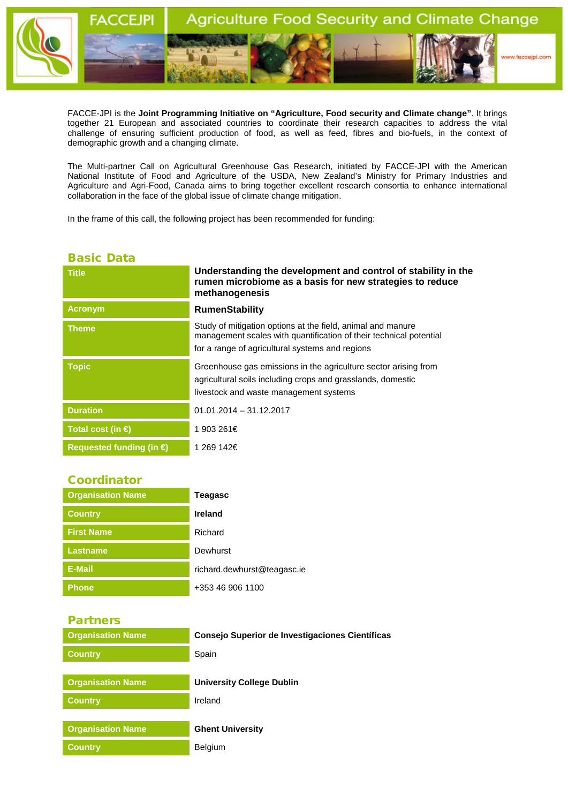

FACCE-JPI is the **Joint Programming Initiative on "Agriculture, Food security and Climate change"**. It brings together 21 European and associated countries to coordinate their research capacities to address the vital challenge of ensuring sufficient production of food, as well as feed, fibres and bio-fuels, in the context of demographic growth and a changing climate.

The Multi-partner Call on Agricultural Greenhouse Gas Research, initiated by FACCE-JPI with the American National Institute of Food and Agriculture of the USDA, New Zealand's Ministry for Primary Industries and Agriculture and Agri-Food, Canada aims to bring together excellent research consortia to enhance international collaboration in the face of the global issue of climate change mitigation.

In the frame of this call, the following project has been recommended for funding:

## Basic Data

| <b>Title</b>                      | Understanding the development and control of stability in the<br>rumen microbiome as a basis for new strategies to reduce<br>methanogenesis                                          |
|-----------------------------------|--------------------------------------------------------------------------------------------------------------------------------------------------------------------------------------|
| <b>Acronym</b>                    | <b>RumenStability</b>                                                                                                                                                                |
| <b>Theme</b>                      | Study of mitigation options at the field, animal and manure<br>management scales with quantification of their technical potential<br>for a range of agricultural systems and regions |
| <b>Topic</b>                      | Greenhouse gas emissions in the agriculture sector arising from<br>agricultural soils including crops and grasslands, domestic<br>livestock and waste management systems             |
| <b>Duration</b>                   | $01.01.2014 - 31.12.2017$                                                                                                                                                            |
| Total cost (in $\bigoplus$        | 1 903 261€                                                                                                                                                                           |
| Requested funding (in $\bigoplus$ | 1 269 142€                                                                                                                                                                           |

## Coordinator

| <b>Organisation Name</b> | Teagasc                     |
|--------------------------|-----------------------------|
| <b>Country</b>           | <b>Ireland</b>              |
| <b>First Name</b>        | Richard                     |
| <b>Lastname</b>          | Dewhurst                    |
| E-Mail                   | richard.dewhurst@teagasc.ie |
| <b>Phone</b>             | +353 46 906 1100            |

## Partners

| <b>Organisation Name</b> | Consejo Superior de Investigaciones Científicas |
|--------------------------|-------------------------------------------------|
| <b>Country</b>           | Spain                                           |
|                          |                                                 |
| <b>Organisation Name</b> | University College Dublin                       |
| <b>Country</b>           | Ireland                                         |
|                          |                                                 |
| <b>Organisation Name</b> | <b>Ghent University</b>                         |
| <b>Country</b>           | <b>Belgium</b>                                  |